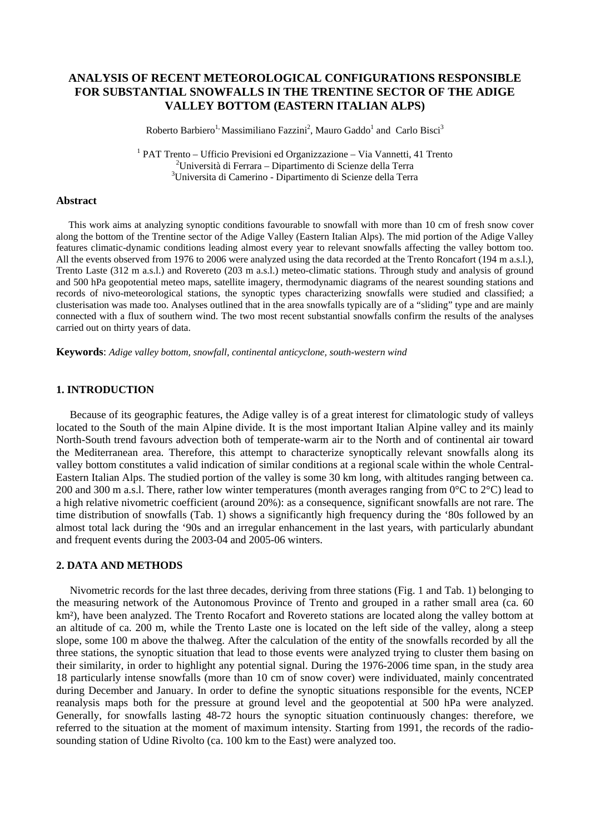# **ANALYSIS OF RECENT METEOROLOGICAL CONFIGURATIONS RESPONSIBLE FOR SUBSTANTIAL SNOWFALLS IN THE TRENTINE SECTOR OF THE ADIGE VALLEY BOTTOM (EASTERN ITALIAN ALPS)**

Roberto Barbiero<sup>1,</sup> Massimiliano Fazzini<sup>2</sup>, Mauro Gaddo<sup>1</sup> and Carlo Bisci<sup>3</sup>

<sup>1</sup> PAT Trento – Ufficio Previsioni ed Organizzazione – Via Vannetti, 41 Trento <sup>2</sup> Università di Ferrere. Dipertimente di Scienze della Terre Università di Ferrara – Dipartimento di Scienze della Terra 3 Universita di Camerino - Dipartimento di Scienze della Terra

#### **Abstract**

 This work aims at analyzing synoptic conditions favourable to snowfall with more than 10 cm of fresh snow cover along the bottom of the Trentine sector of the Adige Valley (Eastern Italian Alps). The mid portion of the Adige Valley features climatic-dynamic conditions leading almost every year to relevant snowfalls affecting the valley bottom too. All the events observed from 1976 to 2006 were analyzed using the data recorded at the Trento Roncafort (194 m a.s.l.), Trento Laste (312 m a.s.l.) and Rovereto (203 m a.s.l.) meteo-climatic stations. Through study and analysis of ground and 500 hPa geopotential meteo maps, satellite imagery, thermodynamic diagrams of the nearest sounding stations and records of nivo-meteorological stations, the synoptic types characterizing snowfalls were studied and classified; a clusterisation was made too. Analyses outlined that in the area snowfalls typically are of a "sliding" type and are mainly connected with a flux of southern wind. The two most recent substantial snowfalls confirm the results of the analyses carried out on thirty years of data.

**Keywords**: *Adige valley bottom, snowfall, continental anticyclone, south-western wind*

### **1. INTRODUCTION**

 Because of its geographic features, the Adige valley is of a great interest for climatologic study of valleys located to the South of the main Alpine divide. It is the most important Italian Alpine valley and its mainly North-South trend favours advection both of temperate-warm air to the North and of continental air toward the Mediterranean area. Therefore, this attempt to characterize synoptically relevant snowfalls along its valley bottom constitutes a valid indication of similar conditions at a regional scale within the whole Central-Eastern Italian Alps. The studied portion of the valley is some 30 km long, with altitudes ranging between ca. 200 and 300 m a.s.l. There, rather low winter temperatures (month averages ranging from  $0^{\circ}$ C to  $2^{\circ}$ C) lead to a high relative nivometric coefficient (around 20%): as a consequence, significant snowfalls are not rare. The time distribution of snowfalls (Tab. 1) shows a significantly high frequency during the '80s followed by an almost total lack during the '90s and an irregular enhancement in the last years, with particularly abundant and frequent events during the 2003-04 and 2005-06 winters.

### **2. DATA AND METHODS**

 Nivometric records for the last three decades, deriving from three stations (Fig. 1 and Tab. 1) belonging to the measuring network of the Autonomous Province of Trento and grouped in a rather small area (ca. 60 km²), have been analyzed. The Trento Rocafort and Rovereto stations are located along the valley bottom at an altitude of ca. 200 m, while the Trento Laste one is located on the left side of the valley, along a steep slope, some 100 m above the thalweg. After the calculation of the entity of the snowfalls recorded by all the three stations, the synoptic situation that lead to those events were analyzed trying to cluster them basing on their similarity, in order to highlight any potential signal. During the 1976-2006 time span, in the study area 18 particularly intense snowfalls (more than 10 cm of snow cover) were individuated, mainly concentrated during December and January. In order to define the synoptic situations responsible for the events, NCEP reanalysis maps both for the pressure at ground level and the geopotential at 500 hPa were analyzed. Generally, for snowfalls lasting 48-72 hours the synoptic situation continuously changes: therefore, we referred to the situation at the moment of maximum intensity. Starting from 1991, the records of the radiosounding station of Udine Rivolto (ca. 100 km to the East) were analyzed too.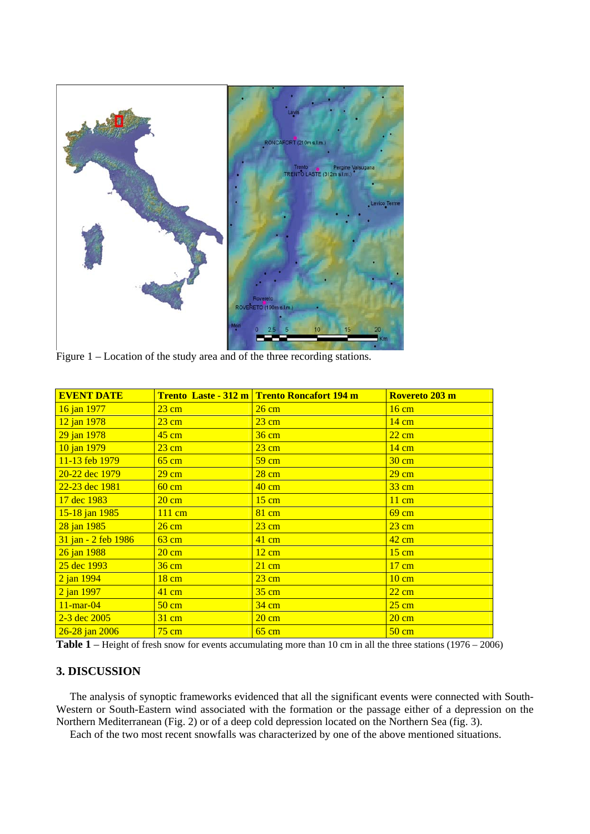

Figure 1 – Location of the study area and of the three recording stations.

| <b>EVENT DATE</b>   |                  | Trento Laste - 312 m Trento Roncafort 194 m | Rovereto 203 m  |
|---------------------|------------------|---------------------------------------------|-----------------|
| 16 jan 1977         | $23 \text{ cm}$  | $26 \text{ cm}$                             | $16 \text{ cm}$ |
| 12 jan 1978         | $23 \text{ cm}$  | $23 \text{ cm}$                             | $14 \text{ cm}$ |
| 29 jan 1978         | $45 \text{ cm}$  | $36 \text{ cm}$                             | $22 \text{ cm}$ |
| 10 jan 1979         | $23 \text{ cm}$  | $23 \text{ cm}$                             | $14 \text{ cm}$ |
| 11-13 feb 1979      | $65 \text{ cm}$  | $59 \text{ cm}$                             | $30 \text{ cm}$ |
| 20-22 dec 1979      | $29 \text{ cm}$  | $28 \text{ cm}$                             | $29 \text{ cm}$ |
| 22-23 dec 1981      | $60 \text{ cm}$  | $40 \text{ cm}$                             | $33 \text{ cm}$ |
| 17 dec 1983         | $20 \text{ cm}$  | $15 \text{ cm}$                             | $11 \text{ cm}$ |
| 15-18 jan 1985      | $111 \text{ cm}$ | $81 \text{ cm}$                             | $69 \text{ cm}$ |
| 28 jan 1985         | $26 \text{ cm}$  | $23 \text{ cm}$                             | $23 \text{ cm}$ |
| 31 jan - 2 feb 1986 | $63 \text{ cm}$  | $41 \text{ cm}$                             | $42 \text{ cm}$ |
| 26 jan 1988         | $20 \text{ cm}$  | $12 \text{ cm}$                             | $15 \text{ cm}$ |
| 25 dec 1993         | $36 \text{ cm}$  | $21 \text{ cm}$                             | $17 \text{ cm}$ |
| 2 jan 1994          | $18 \text{ cm}$  | $23 \text{ cm}$                             | $10 \text{ cm}$ |
| 2 jan 1997          | $41 \text{ cm}$  | $35 \text{ cm}$                             | $22 \text{ cm}$ |
| $11$ -mar-04        | $50 \text{ cm}$  | $34 \text{ cm}$                             | $25 \text{ cm}$ |
| $2 - 3$ dec 2005    | $31 \text{ cm}$  | $20 \text{ cm}$                             | $20 \text{ cm}$ |
| $26 - 28$ jan 2006  | $75 \text{ cm}$  | $65 \text{ cm}$                             | $50 \text{ cm}$ |

**Table 1** – Height of fresh snow for events accumulating more than 10 cm in all the three stations (1976 – 2006)

# **3. DISCUSSION**

 The analysis of synoptic frameworks evidenced that all the significant events were connected with South-Western or South-Eastern wind associated with the formation or the passage either of a depression on the Northern Mediterranean (Fig. 2) or of a deep cold depression located on the Northern Sea (fig. 3).

Each of the two most recent snowfalls was characterized by one of the above mentioned situations.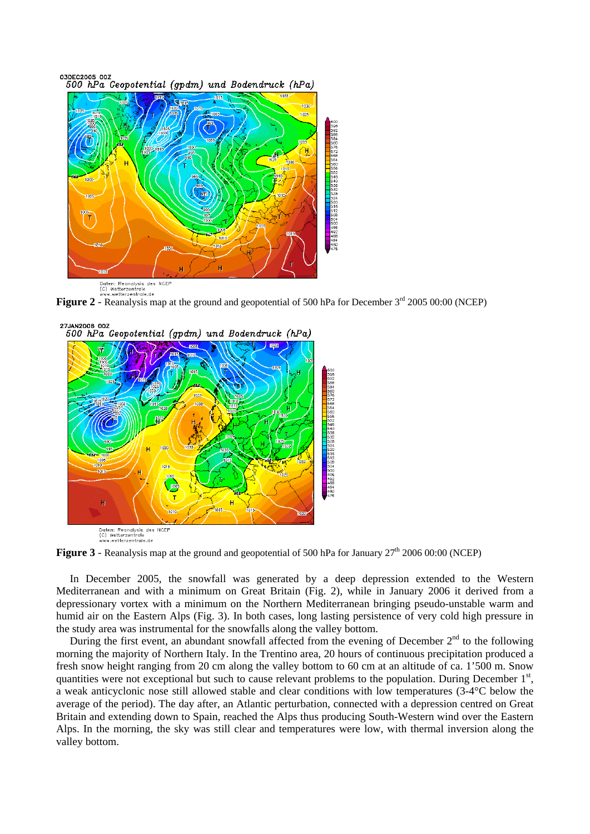03DEC2005 00Z 500 hPa Geopotential (gpdm) und Bodendruck (hPa)







**Figure 3** - Reanalysis map at the ground and geopotential of 500 hPa for January  $27<sup>th</sup> 2006 00:00$  (NCEP)

 In December 2005, the snowfall was generated by a deep depression extended to the Western Mediterranean and with a minimum on Great Britain (Fig. 2), while in January 2006 it derived from a depressionary vortex with a minimum on the Northern Mediterranean bringing pseudo-unstable warm and humid air on the Eastern Alps (Fig. 3). In both cases, long lasting persistence of very cold high pressure in the study area was instrumental for the snowfalls along the valley bottom.

During the first event, an abundant snowfall affected from the evening of December  $2<sup>nd</sup>$  to the following morning the majority of Northern Italy. In the Trentino area, 20 hours of continuous precipitation produced a fresh snow height ranging from 20 cm along the valley bottom to 60 cm at an altitude of ca. 1'500 m. Snow quantities were not exceptional but such to cause relevant problems to the population. During December 1<sup>st</sup>, a weak anticyclonic nose still allowed stable and clear conditions with low temperatures (3-4°C below the average of the period). The day after, an Atlantic perturbation, connected with a depression centred on Great Britain and extending down to Spain, reached the Alps thus producing South-Western wind over the Eastern Alps. In the morning, the sky was still clear and temperatures were low, with thermal inversion along the valley bottom.